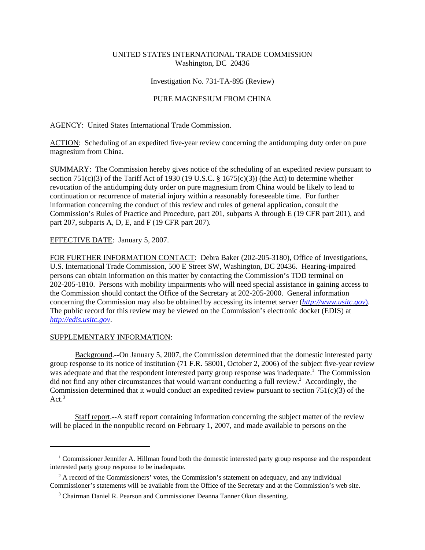# UNITED STATES INTERNATIONAL TRADE COMMISSION Washington, DC 20436

### Investigation No. 731-TA-895 (Review)

## PURE MAGNESIUM FROM CHINA

AGENCY: United States International Trade Commission.

ACTION: Scheduling of an expedited five-year review concerning the antidumping duty order on pure magnesium from China.

SUMMARY: The Commission hereby gives notice of the scheduling of an expedited review pursuant to section 751(c)(3) of the Tariff Act of 1930 (19 U.S.C. § 1675(c)(3)) (the Act) to determine whether revocation of the antidumping duty order on pure magnesium from China would be likely to lead to continuation or recurrence of material injury within a reasonably foreseeable time. For further information concerning the conduct of this review and rules of general application, consult the Commission's Rules of Practice and Procedure, part 201, subparts A through E (19 CFR part 201), and part 207, subparts A, D, E, and F (19 CFR part 207).

# EFFECTIVE DATE: January 5, 2007.

FOR FURTHER INFORMATION CONTACT: Debra Baker (202-205-3180), Office of Investigations, U.S. International Trade Commission, 500 E Street SW, Washington, DC 20436. Hearing-impaired persons can obtain information on this matter by contacting the Commission's TDD terminal on 202-205-1810. Persons with mobility impairments who will need special assistance in gaining access to the Commission should contact the Office of the Secretary at 202-205-2000. General information concerning the Commission may also be obtained by accessing its internet server (*http://www.usitc.gov*). The public record for this review may be viewed on the Commission's electronic docket (EDIS) at *http://edis.usitc.gov*.

### SUPPLEMENTARY INFORMATION:

Background.--On January 5, 2007, the Commission determined that the domestic interested party group response to its notice of institution (71 F.R. 58001, October 2, 2006) of the subject five-year review was adequate and that the respondent interested party group response was inadequate.<sup>1</sup> The Commission did not find any other circumstances that would warrant conducting a full review.<sup>2</sup> Accordingly, the Commission determined that it would conduct an expedited review pursuant to section  $751(c)(3)$  of the Act. $3$ 

Staff report.--A staff report containing information concerning the subject matter of the review will be placed in the nonpublic record on February 1, 2007, and made available to persons on the

<sup>&</sup>lt;sup>1</sup> Commissioner Jennifer A. Hillman found both the domestic interested party group response and the respondent interested party group response to be inadequate.

<sup>&</sup>lt;sup>2</sup> A record of the Commissioners' votes, the Commission's statement on adequacy, and any individual Commissioner's statements will be available from the Office of the Secretary and at the Commission's web site.

<sup>&</sup>lt;sup>3</sup> Chairman Daniel R. Pearson and Commissioner Deanna Tanner Okun dissenting.